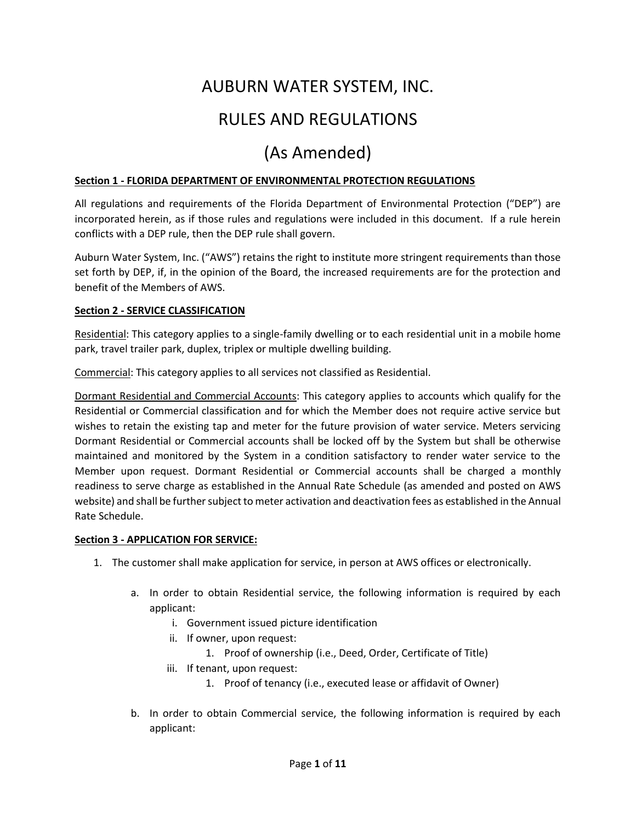# AUBURN WATER SYSTEM, INC. RULES AND REGULATIONS

# (As Amended)

# **Section 1 - FLORIDA DEPARTMENT OF ENVIRONMENTAL PROTECTION REGULATIONS**

All regulations and requirements of the Florida Department of Environmental Protection ("DEP") are incorporated herein, as if those rules and regulations were included in this document. If a rule herein conflicts with a DEP rule, then the DEP rule shall govern.

Auburn Water System, Inc. ("AWS") retains the right to institute more stringent requirements than those set forth by DEP, if, in the opinion of the Board, the increased requirements are for the protection and benefit of the Members of AWS.

#### **Section 2 - SERVICE CLASSIFICATION**

Residential: This category applies to a single-family dwelling or to each residential unit in a mobile home park, travel trailer park, duplex, triplex or multiple dwelling building.

Commercial: This category applies to all services not classified as Residential.

Dormant Residential and Commercial Accounts: This category applies to accounts which qualify for the Residential or Commercial classification and for which the Member does not require active service but wishes to retain the existing tap and meter for the future provision of water service. Meters servicing Dormant Residential or Commercial accounts shall be locked off by the System but shall be otherwise maintained and monitored by the System in a condition satisfactory to render water service to the Member upon request. Dormant Residential or Commercial accounts shall be charged a monthly readiness to serve charge as established in the Annual Rate Schedule (as amended and posted on AWS website) and shall be further subject to meter activation and deactivation fees as established in the Annual Rate Schedule.

#### **Section 3 - APPLICATION FOR SERVICE:**

- 1. The customer shall make application for service, in person at AWS offices or electronically.
	- a. In order to obtain Residential service, the following information is required by each applicant:
		- i. Government issued picture identification
		- ii. If owner, upon request:
			- 1. Proof of ownership (i.e., Deed, Order, Certificate of Title)
		- iii. If tenant, upon request:
			- 1. Proof of tenancy (i.e., executed lease or affidavit of Owner)
	- b. In order to obtain Commercial service, the following information is required by each applicant: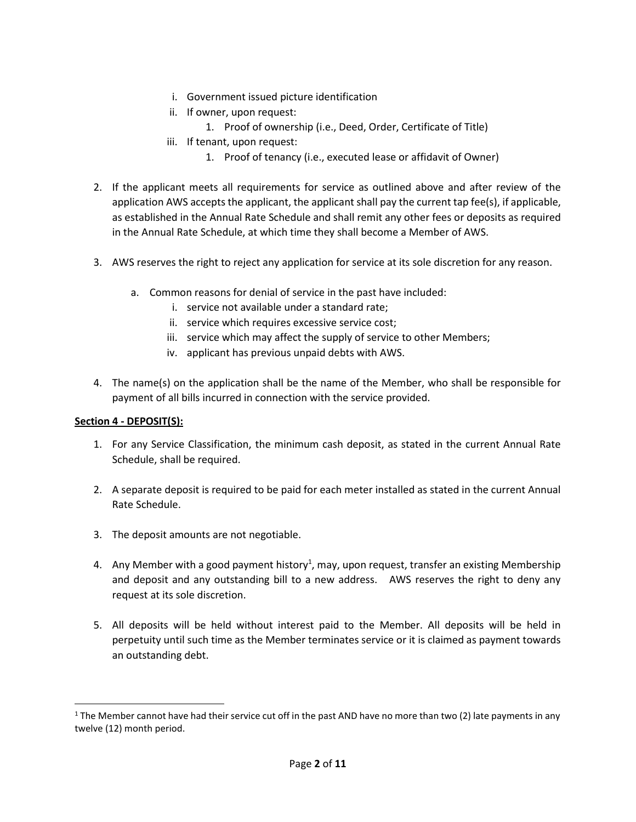- i. Government issued picture identification
- ii. If owner, upon request:
	- 1. Proof of ownership (i.e., Deed, Order, Certificate of Title)
- iii. If tenant, upon request:
	- 1. Proof of tenancy (i.e., executed lease or affidavit of Owner)
- 2. If the applicant meets all requirements for service as outlined above and after review of the application AWS accepts the applicant, the applicant shall pay the current tap fee(s), if applicable, as established in the Annual Rate Schedule and shall remit any other fees or deposits as required in the Annual Rate Schedule, at which time they shall become a Member of AWS.
- 3. AWS reserves the right to reject any application for service at its sole discretion for any reason.
	- a. Common reasons for denial of service in the past have included:
		- i. service not available under a standard rate;
		- ii. service which requires excessive service cost;
		- iii. service which may affect the supply of service to other Members;
		- iv. applicant has previous unpaid debts with AWS.
- 4. The name(s) on the application shall be the name of the Member, who shall be responsible for payment of all bills incurred in connection with the service provided.

#### **Section 4 - DEPOSIT(S):**

- 1. For any Service Classification, the minimum cash deposit, as stated in the current Annual Rate Schedule, shall be required.
- 2. A separate deposit is required to be paid for each meter installed as stated in the current Annual Rate Schedule.
- 3. The deposit amounts are not negotiable.
- 4. Any Member with a good payment history<sup>1</sup>, may, upon request, transfer an existing Membership and deposit and any outstanding bill to a new address. AWS reserves the right to deny any request at its sole discretion.
- 5. All deposits will be held without interest paid to the Member. All deposits will be held in perpetuity until such time as the Member terminates service or it is claimed as payment towards an outstanding debt.

<sup>&</sup>lt;sup>1</sup> The Member cannot have had their service cut off in the past AND have no more than two (2) late payments in any twelve (12) month period.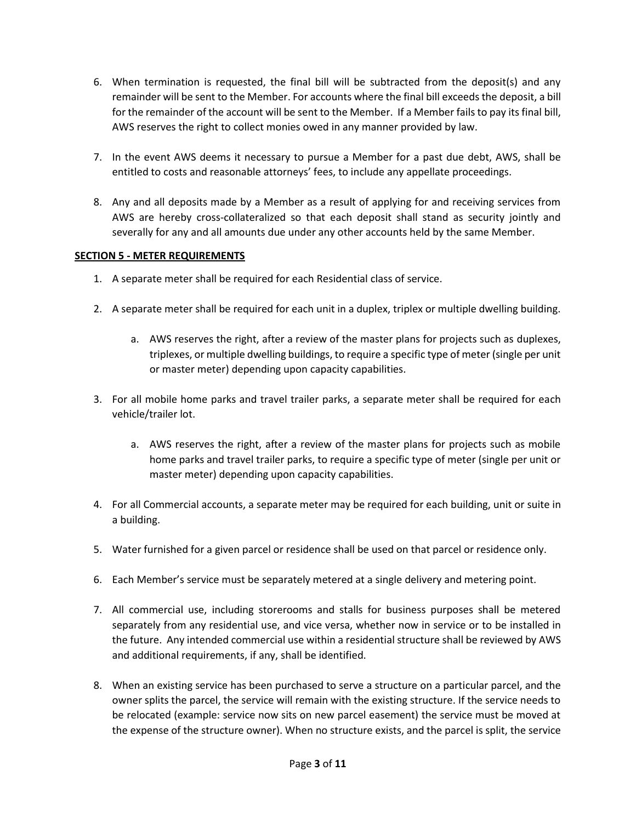- 6. When termination is requested, the final bill will be subtracted from the deposit(s) and any remainder will be sent to the Member. For accounts where the final bill exceeds the deposit, a bill for the remainder of the account will be sent to the Member. If a Member fails to pay its final bill, AWS reserves the right to collect monies owed in any manner provided by law.
- 7. In the event AWS deems it necessary to pursue a Member for a past due debt, AWS, shall be entitled to costs and reasonable attorneys' fees, to include any appellate proceedings.
- 8. Any and all deposits made by a Member as a result of applying for and receiving services from AWS are hereby cross-collateralized so that each deposit shall stand as security jointly and severally for any and all amounts due under any other accounts held by the same Member.

# **SECTION 5 - METER REQUIREMENTS**

- 1. A separate meter shall be required for each Residential class of service.
- 2. A separate meter shall be required for each unit in a duplex, triplex or multiple dwelling building.
	- a. AWS reserves the right, after a review of the master plans for projects such as duplexes, triplexes, or multiple dwelling buildings, to require a specific type of meter (single per unit or master meter) depending upon capacity capabilities.
- 3. For all mobile home parks and travel trailer parks, a separate meter shall be required for each vehicle/trailer lot.
	- a. AWS reserves the right, after a review of the master plans for projects such as mobile home parks and travel trailer parks, to require a specific type of meter (single per unit or master meter) depending upon capacity capabilities.
- 4. For all Commercial accounts, a separate meter may be required for each building, unit or suite in a building.
- 5. Water furnished for a given parcel or residence shall be used on that parcel or residence only.
- 6. Each Member's service must be separately metered at a single delivery and metering point.
- 7. All commercial use, including storerooms and stalls for business purposes shall be metered separately from any residential use, and vice versa, whether now in service or to be installed in the future. Any intended commercial use within a residential structure shall be reviewed by AWS and additional requirements, if any, shall be identified.
- 8. When an existing service has been purchased to serve a structure on a particular parcel, and the owner splits the parcel, the service will remain with the existing structure. If the service needs to be relocated (example: service now sits on new parcel easement) the service must be moved at the expense of the structure owner). When no structure exists, and the parcel is split, the service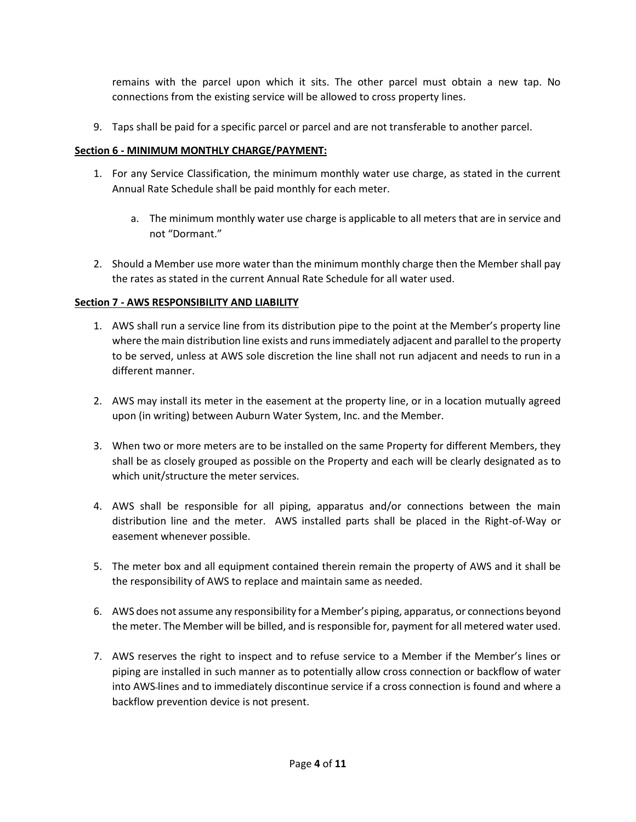remains with the parcel upon which it sits. The other parcel must obtain a new tap. No connections from the existing service will be allowed to cross property lines.

9. Taps shall be paid for a specific parcel or parcel and are not transferable to another parcel.

#### **Section 6 - MINIMUM MONTHLY CHARGE/PAYMENT:**

- 1. For any Service Classification, the minimum monthly water use charge, as stated in the current Annual Rate Schedule shall be paid monthly for each meter.
	- a. The minimum monthly water use charge is applicable to all meters that are in service and not "Dormant."
- 2. Should a Member use more water than the minimum monthly charge then the Member shall pay the rates as stated in the current Annual Rate Schedule for all water used.

#### **Section 7 - AWS RESPONSIBILITY AND LIABILITY**

- 1. AWS shall run a service line from its distribution pipe to the point at the Member's property line where the main distribution line exists and runs immediately adjacent and parallel to the property to be served, unless at AWS sole discretion the line shall not run adjacent and needs to run in a different manner.
- 2. AWS may install its meter in the easement at the property line, or in a location mutually agreed upon (in writing) between Auburn Water System, Inc. and the Member.
- 3. When two or more meters are to be installed on the same Property for different Members, they shall be as closely grouped as possible on the Property and each will be clearly designated as to which unit/structure the meter services.
- 4. AWS shall be responsible for all piping, apparatus and/or connections between the main distribution line and the meter. AWS installed parts shall be placed in the Right-of-Way or easement whenever possible.
- 5. The meter box and all equipment contained therein remain the property of AWS and it shall be the responsibility of AWS to replace and maintain same as needed.
- 6. AWS does not assume any responsibility for a Member's piping, apparatus, or connections beyond the meter. The Member will be billed, and is responsible for, payment for all metered water used.
- 7. AWS reserves the right to inspect and to refuse service to a Member if the Member's lines or piping are installed in such manner as to potentially allow cross connection or backflow of water into AWS lines and to immediately discontinue service if a cross connection is found and where a backflow prevention device is not present.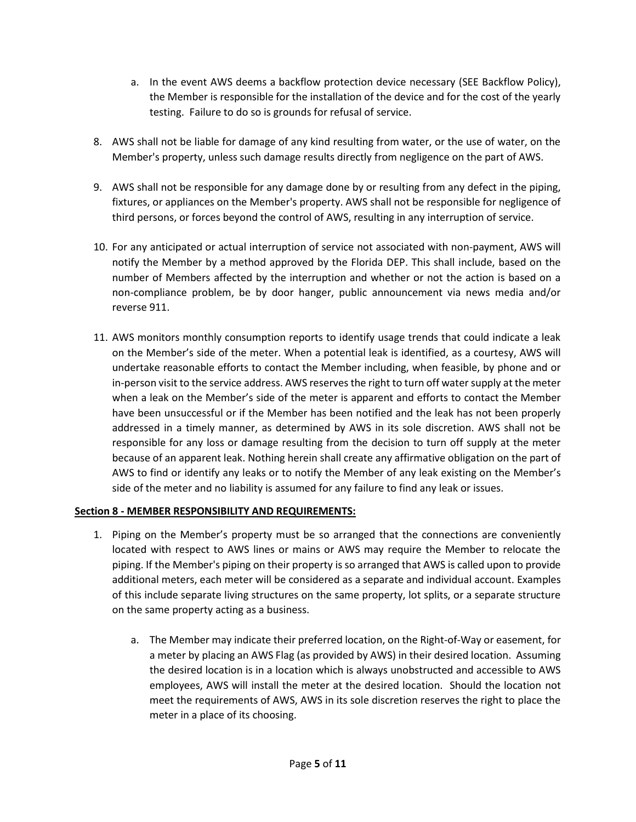- a. In the event AWS deems a backflow protection device necessary (SEE Backflow Policy), the Member is responsible for the installation of the device and for the cost of the yearly testing. Failure to do so is grounds for refusal of service.
- 8. AWS shall not be liable for damage of any kind resulting from water, or the use of water, on the Member's property, unless such damage results directly from negligence on the part of AWS.
- 9. AWS shall not be responsible for any damage done by or resulting from any defect in the piping, fixtures, or appliances on the Member's property. AWS shall not be responsible for negligence of third persons, or forces beyond the control of AWS, resulting in any interruption of service.
- 10. For any anticipated or actual interruption of service not associated with non-payment, AWS will notify the Member by a method approved by the Florida DEP. This shall include, based on the number of Members affected by the interruption and whether or not the action is based on a non-compliance problem, be by door hanger, public announcement via news media and/or reverse 911.
- 11. AWS monitors monthly consumption reports to identify usage trends that could indicate a leak on the Member's side of the meter. When a potential leak is identified, as a courtesy, AWS will undertake reasonable efforts to contact the Member including, when feasible, by phone and or in-person visit to the service address. AWS reserves the right to turn off water supply at the meter when a leak on the Member's side of the meter is apparent and efforts to contact the Member have been unsuccessful or if the Member has been notified and the leak has not been properly addressed in a timely manner, as determined by AWS in its sole discretion. AWS shall not be responsible for any loss or damage resulting from the decision to turn off supply at the meter because of an apparent leak. Nothing herein shall create any affirmative obligation on the part of AWS to find or identify any leaks or to notify the Member of any leak existing on the Member's side of the meter and no liability is assumed for any failure to find any leak or issues.

# **Section 8 - MEMBER RESPONSIBILITY AND REQUIREMENTS:**

- 1. Piping on the Member's property must be so arranged that the connections are conveniently located with respect to AWS lines or mains or AWS may require the Member to relocate the piping. If the Member's piping on their property is so arranged that AWS is called upon to provide additional meters, each meter will be considered as a separate and individual account. Examples of this include separate living structures on the same property, lot splits, or a separate structure on the same property acting as a business.
	- a. The Member may indicate their preferred location, on the Right-of-Way or easement, for a meter by placing an AWS Flag (as provided by AWS) in their desired location. Assuming the desired location is in a location which is always unobstructed and accessible to AWS employees, AWS will install the meter at the desired location. Should the location not meet the requirements of AWS, AWS in its sole discretion reserves the right to place the meter in a place of its choosing.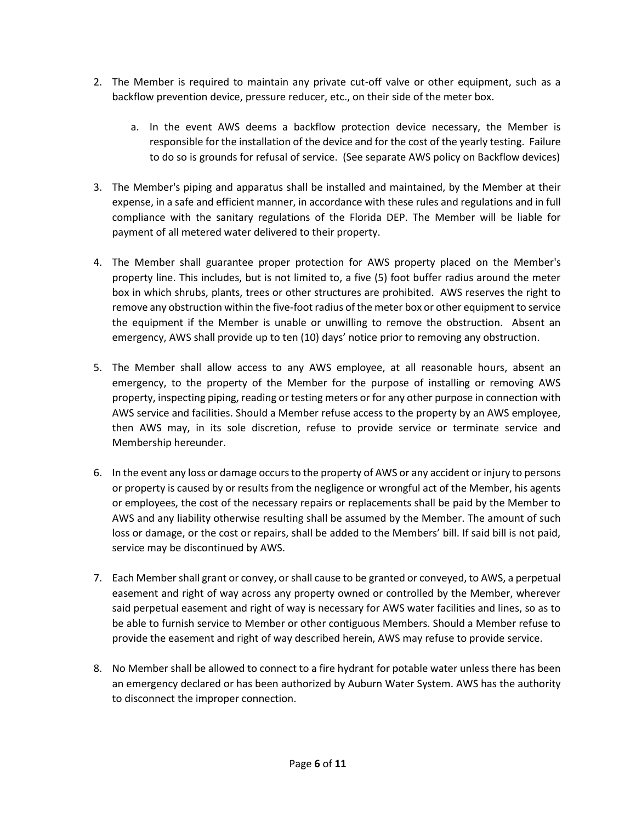- 2. The Member is required to maintain any private cut-off valve or other equipment, such as a backflow prevention device, pressure reducer, etc., on their side of the meter box.
	- a. In the event AWS deems a backflow protection device necessary, the Member is responsible for the installation of the device and for the cost of the yearly testing. Failure to do so is grounds for refusal of service. (See separate AWS policy on Backflow devices)
- 3. The Member's piping and apparatus shall be installed and maintained, by the Member at their expense, in a safe and efficient manner, in accordance with these rules and regulations and in full compliance with the sanitary regulations of the Florida DEP. The Member will be liable for payment of all metered water delivered to their property.
- 4. The Member shall guarantee proper protection for AWS property placed on the Member's property line. This includes, but is not limited to, a five (5) foot buffer radius around the meter box in which shrubs, plants, trees or other structures are prohibited. AWS reserves the right to remove any obstruction within the five-foot radius of the meter box or other equipment to service the equipment if the Member is unable or unwilling to remove the obstruction. Absent an emergency, AWS shall provide up to ten (10) days' notice prior to removing any obstruction.
- 5. The Member shall allow access to any AWS employee, at all reasonable hours, absent an emergency, to the property of the Member for the purpose of installing or removing AWS property, inspecting piping, reading or testing meters or for any other purpose in connection with AWS service and facilities. Should a Member refuse access to the property by an AWS employee, then AWS may, in its sole discretion, refuse to provide service or terminate service and Membership hereunder.
- 6. In the event any loss or damage occurs to the property of AWS or any accident or injury to persons or property is caused by or results from the negligence or wrongful act of the Member, his agents or employees, the cost of the necessary repairs or replacements shall be paid by the Member to AWS and any liability otherwise resulting shall be assumed by the Member. The amount of such loss or damage, or the cost or repairs, shall be added to the Members' bill. If said bill is not paid, service may be discontinued by AWS.
- 7. Each Member shall grant or convey, or shall cause to be granted or conveyed, to AWS, a perpetual easement and right of way across any property owned or controlled by the Member, wherever said perpetual easement and right of way is necessary for AWS water facilities and lines, so as to be able to furnish service to Member or other contiguous Members. Should a Member refuse to provide the easement and right of way described herein, AWS may refuse to provide service.
- 8. No Member shall be allowed to connect to a fire hydrant for potable water unless there has been an emergency declared or has been authorized by Auburn Water System. AWS has the authority to disconnect the improper connection.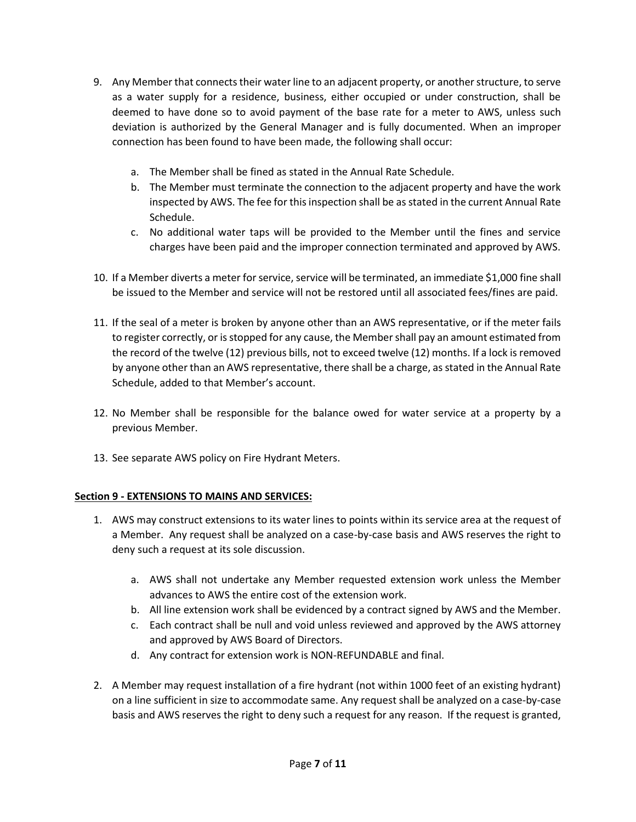- 9. Any Member that connects their water line to an adjacent property, or another structure, to serve as a water supply for a residence, business, either occupied or under construction, shall be deemed to have done so to avoid payment of the base rate for a meter to AWS, unless such deviation is authorized by the General Manager and is fully documented. When an improper connection has been found to have been made, the following shall occur:
	- a. The Member shall be fined as stated in the Annual Rate Schedule.
	- b. The Member must terminate the connection to the adjacent property and have the work inspected by AWS. The fee for this inspection shall be as stated in the current Annual Rate Schedule.
	- c. No additional water taps will be provided to the Member until the fines and service charges have been paid and the improper connection terminated and approved by AWS.
- 10. If a Member diverts a meter for service, service will be terminated, an immediate \$1,000 fine shall be issued to the Member and service will not be restored until all associated fees/fines are paid.
- 11. If the seal of a meter is broken by anyone other than an AWS representative, or if the meter fails to register correctly, or is stopped for any cause, the Member shall pay an amount estimated from the record of the twelve (12) previous bills, not to exceed twelve (12) months. If a lock is removed by anyone other than an AWS representative, there shall be a charge, as stated in the Annual Rate Schedule, added to that Member's account.
- 12. No Member shall be responsible for the balance owed for water service at a property by a previous Member.
- 13. See separate AWS policy on Fire Hydrant Meters.

# **Section 9 - EXTENSIONS TO MAINS AND SERVICES:**

- 1. AWS may construct extensions to its water lines to points within its service area at the request of a Member. Any request shall be analyzed on a case-by-case basis and AWS reserves the right to deny such a request at its sole discussion.
	- a. AWS shall not undertake any Member requested extension work unless the Member advances to AWS the entire cost of the extension work.
	- b. All line extension work shall be evidenced by a contract signed by AWS and the Member.
	- c. Each contract shall be null and void unless reviewed and approved by the AWS attorney and approved by AWS Board of Directors.
	- d. Any contract for extension work is NON-REFUNDABLE and final.
- 2. A Member may request installation of a fire hydrant (not within 1000 feet of an existing hydrant) on a line sufficient in size to accommodate same. Any request shall be analyzed on a case-by-case basis and AWS reserves the right to deny such a request for any reason. If the request is granted,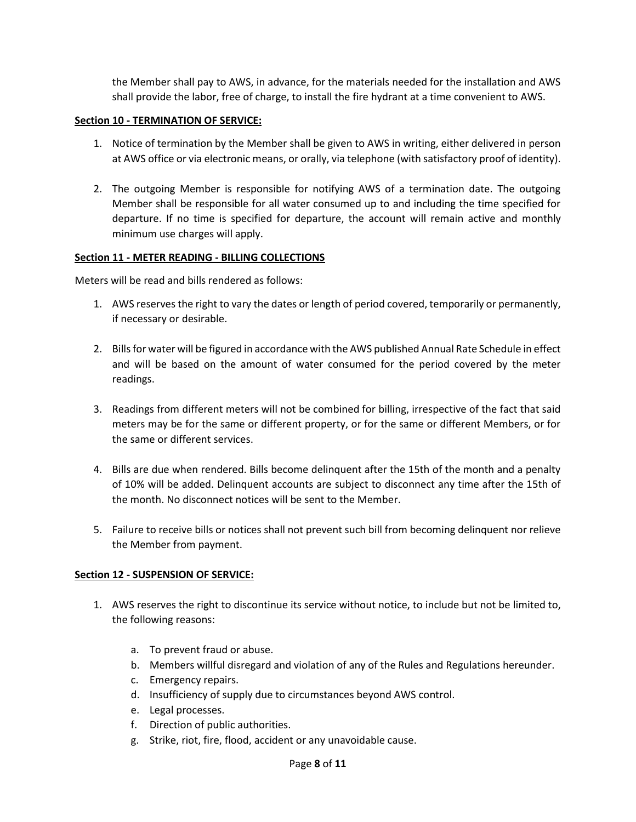the Member shall pay to AWS, in advance, for the materials needed for the installation and AWS shall provide the labor, free of charge, to install the fire hydrant at a time convenient to AWS.

#### **Section 10 - TERMINATION OF SERVICE:**

- 1. Notice of termination by the Member shall be given to AWS in writing, either delivered in person at AWS office or via electronic means, or orally, via telephone (with satisfactory proof of identity).
- 2. The outgoing Member is responsible for notifying AWS of a termination date. The outgoing Member shall be responsible for all water consumed up to and including the time specified for departure. If no time is specified for departure, the account will remain active and monthly minimum use charges will apply.

#### **Section 11 - METER READING - BILLING COLLECTIONS**

Meters will be read and bills rendered as follows:

- 1. AWS reserves the right to vary the dates or length of period covered, temporarily or permanently, if necessary or desirable.
- 2. Bills for water will be figured in accordance with the AWS published Annual Rate Schedule in effect and will be based on the amount of water consumed for the period covered by the meter readings.
- 3. Readings from different meters will not be combined for billing, irrespective of the fact that said meters may be for the same or different property, or for the same or different Members, or for the same or different services.
- 4. Bills are due when rendered. Bills become delinquent after the 15th of the month and a penalty of 10% will be added. Delinquent accounts are subject to disconnect any time after the 15th of the month. No disconnect notices will be sent to the Member.
- 5. Failure to receive bills or notices shall not prevent such bill from becoming delinquent nor relieve the Member from payment.

#### **Section 12 - SUSPENSION OF SERVICE:**

- 1. AWS reserves the right to discontinue its service without notice, to include but not be limited to, the following reasons:
	- a. To prevent fraud or abuse.
	- b. Members willful disregard and violation of any of the Rules and Regulations hereunder.
	- c. Emergency repairs.
	- d. Insufficiency of supply due to circumstances beyond AWS control.
	- e. Legal processes.
	- f. Direction of public authorities.
	- g. Strike, riot, fire, flood, accident or any unavoidable cause.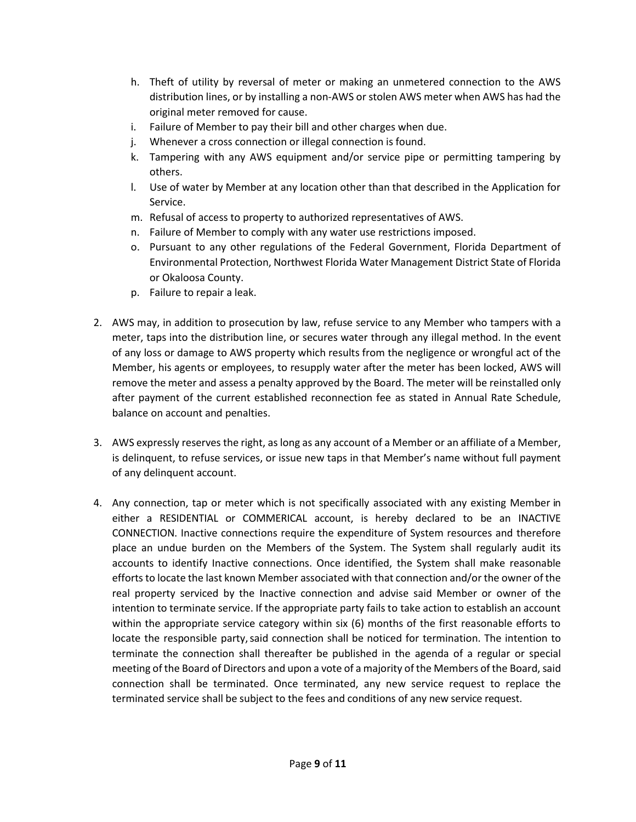- h. Theft of utility by reversal of meter or making an unmetered connection to the AWS distribution lines, or by installing a non-AWS or stolen AWS meter when AWS has had the original meter removed for cause.
- i. Failure of Member to pay their bill and other charges when due.
- j. Whenever a cross connection or illegal connection is found.
- k. Tampering with any AWS equipment and/or service pipe or permitting tampering by others.
- l. Use of water by Member at any location other than that described in the Application for Service.
- m. Refusal of access to property to authorized representatives of AWS.
- n. Failure of Member to comply with any water use restrictions imposed.
- o. Pursuant to any other regulations of the Federal Government, Florida Department of Environmental Protection, Northwest Florida Water Management District State of Florida or Okaloosa County.
- p. Failure to repair a leak.
- 2. AWS may, in addition to prosecution by law, refuse service to any Member who tampers with a meter, taps into the distribution line, or secures water through any illegal method. In the event of any loss or damage to AWS property which results from the negligence or wrongful act of the Member, his agents or employees, to resupply water after the meter has been locked, AWS will remove the meter and assess a penalty approved by the Board. The meter will be reinstalled only after payment of the current established reconnection fee as stated in Annual Rate Schedule, balance on account and penalties.
- 3. AWS expressly reserves the right, as long as any account of a Member or an affiliate of a Member, is delinquent, to refuse services, or issue new taps in that Member's name without full payment of any delinquent account.
- 4. Any connection, tap or meter which is not specifically associated with any existing Member in either a RESIDENTIAL or COMMERICAL account, is hereby declared to be an INACTIVE CONNECTION. Inactive connections require the expenditure of System resources and therefore place an undue burden on the Members of the System. The System shall regularly audit its accounts to identify Inactive connections. Once identified, the System shall make reasonable efforts to locate the last known Member associated with that connection and/or the owner of the real property serviced by the Inactive connection and advise said Member or owner of the intention to terminate service. If the appropriate party fails to take action to establish an account within the appropriate service category within six (6) months of the first reasonable efforts to locate the responsible party, said connection shall be noticed for termination. The intention to terminate the connection shall thereafter be published in the agenda of a regular or special meeting of the Board of Directors and upon a vote of a majority of the Members of the Board, said connection shall be terminated. Once terminated, any new service request to replace the terminated service shall be subject to the fees and conditions of any new service request.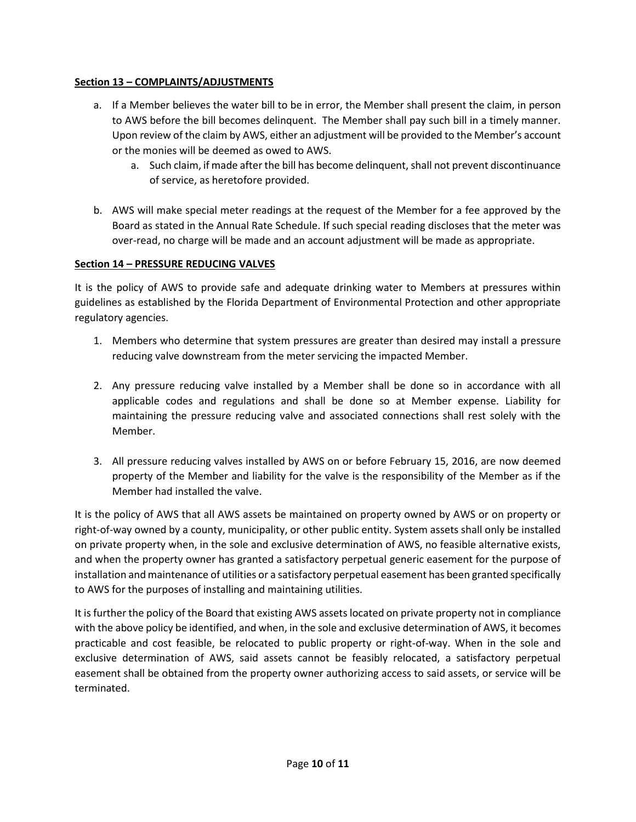# **Section 13 – COMPLAINTS/ADJUSTMENTS**

- a. If a Member believes the water bill to be in error, the Member shall present the claim, in person to AWS before the bill becomes delinquent. The Member shall pay such bill in a timely manner. Upon review of the claim by AWS, either an adjustment will be provided to the Member's account or the monies will be deemed as owed to AWS.
	- a. Such claim, if made after the bill has become delinquent, shall not prevent discontinuance of service, as heretofore provided.
- b. AWS will make special meter readings at the request of the Member for a fee approved by the Board as stated in the Annual Rate Schedule. If such special reading discloses that the meter was over-read, no charge will be made and an account adjustment will be made as appropriate.

# **Section 14 – PRESSURE REDUCING VALVES**

It is the policy of AWS to provide safe and adequate drinking water to Members at pressures within guidelines as established by the Florida Department of Environmental Protection and other appropriate regulatory agencies.

- 1. Members who determine that system pressures are greater than desired may install a pressure reducing valve downstream from the meter servicing the impacted Member.
- 2. Any pressure reducing valve installed by a Member shall be done so in accordance with all applicable codes and regulations and shall be done so at Member expense. Liability for maintaining the pressure reducing valve and associated connections shall rest solely with the Member.
- 3. All pressure reducing valves installed by AWS on or before February 15, 2016, are now deemed property of the Member and liability for the valve is the responsibility of the Member as if the Member had installed the valve.

It is the policy of AWS that all AWS assets be maintained on property owned by AWS or on property or right-of-way owned by a county, municipality, or other public entity. System assets shall only be installed on private property when, in the sole and exclusive determination of AWS, no feasible alternative exists, and when the property owner has granted a satisfactory perpetual generic easement for the purpose of installation and maintenance of utilities or a satisfactory perpetual easement has been granted specifically to AWS for the purposes of installing and maintaining utilities.

It is further the policy of the Board that existing AWS assets located on private property not in compliance with the above policy be identified, and when, in the sole and exclusive determination of AWS, it becomes practicable and cost feasible, be relocated to public property or right-of-way. When in the sole and exclusive determination of AWS, said assets cannot be feasibly relocated, a satisfactory perpetual easement shall be obtained from the property owner authorizing access to said assets, or service will be terminated.